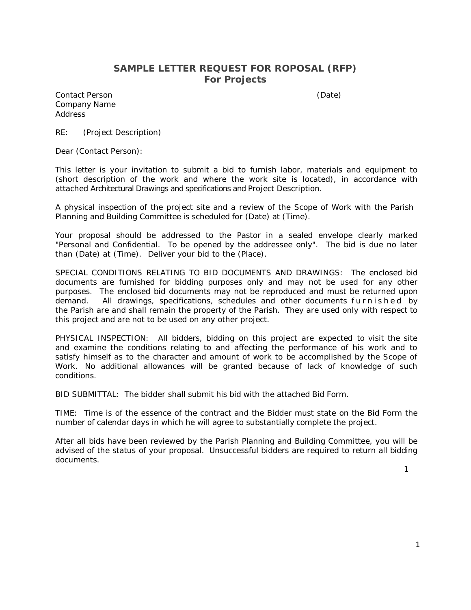#### **SAMPLE LETTER REQUEST FOR ROPOSAL (RFP) For Projects**

Contact Person (Date) Company Name Address

RE: (Project Description)

Dear (Contact Person):

This letter is your invitation to submit a bid to furnish labor, materials and equipment to (short description of the work and where the work site is located), in accordance with attached Architectural Drawings and specifications and Project Description.

A physical inspection of the project site and a review of the Scope of Work with the Parish Planning and Building Committee is scheduled for (Date) at (Time).

Your proposal should be addressed to the Pastor in a sealed envelope clearly marked "Personal and Confidential. To be opened by the addressee only". The bid is due no later than (Date) at (Time). Deliver your bid to the (Place).

SPECIAL CONDITIONS RELATING TO BID DOCUMENTS AND DRAWINGS: The enclosed bid documents are furnished for bidding purposes only and may not be used for any other purposes. The enclosed bid documents may not be reproduced and must be returned upon demand. All drawings, specifications, schedules and other documents furnished by the Parish are and shall remain the property of the Parish. They are used only with respect to this project and are not to be used on any other project.

PHYSICAL INSPECTION: All bidders, bidding on this project are expected to visit the site and examine the conditions relating to and affecting the performance of his work and to satisfy himself as to the character and amount of work to be accomplished by the Scope of Work. No additional allowances will be granted because of lack of knowledge of such conditions.

BID SUBMITTAL: The bidder shall submit his bid with the attached Bid Form.

TIME: Time is of the essence of the contract and the Bidder must state on the Bid Form the number of calendar days in which he will agree to substantially complete the project.

After all bids have been reviewed by the Parish Planning and Building Committee, you will be advised of the status of your proposal. Unsuccessful bidders are required to return all bidding documents.

1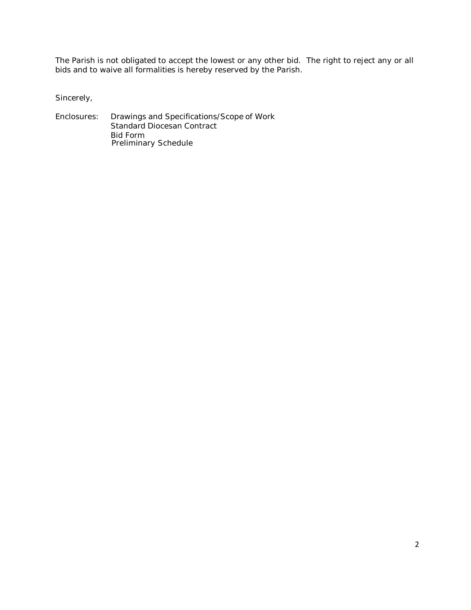The Parish is not obligated to accept the lowest or any other bid. The right to reject any or all bids and to waive all formalities is hereby reserved by the Parish.

Sincerely,

Enclosures: Drawings and Specifications/Scope of Work Standard Diocesan Contract Bid Form Preliminary Schedule